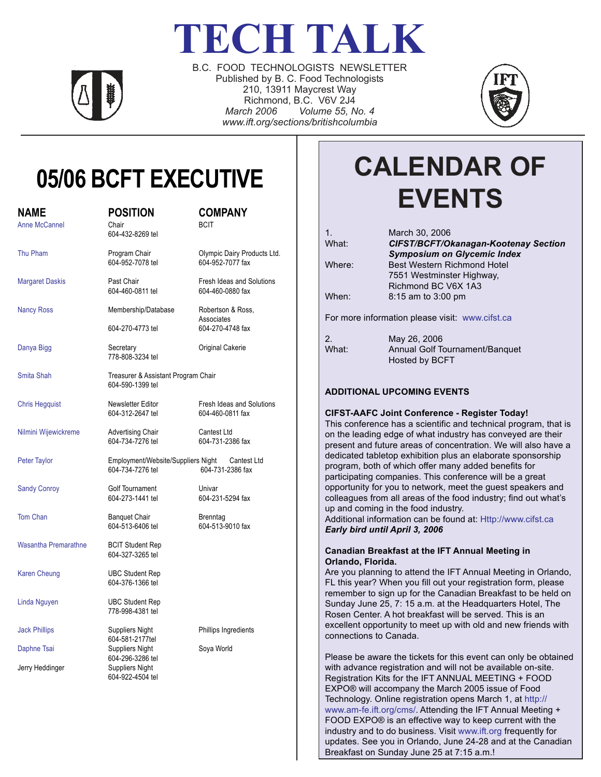# **TECH TALK**



B.C. FOOD TECHNOLOGISTS NEWSLETTER Published by B. C. Food Technologists 210, 13911 Maycrest Way Richmond, B.C. V6V 2J4 *March 2006 Volume 55, No. 4 www.ift.org/sections/britishcolumbia*



## **05/06 BCFT EXECUTIVE**

| <b>NAME</b><br><b>Anne McCannel</b> | <b>POSITION</b><br>Chair<br>604-432-8269 tel                       | <b>COMPANY</b><br><b>BCIT</b>                       |  |  |
|-------------------------------------|--------------------------------------------------------------------|-----------------------------------------------------|--|--|
| Thu Pham                            | Program Chair<br>604-952-7078 tel                                  | Olympic Dairy Products Ltd.<br>604-952-7077 fax     |  |  |
| <b>Margaret Daskis</b>              | Past Chair<br>604-460-0811 tel                                     | Fresh Ideas and Solutions<br>604-460-0880 fax       |  |  |
| <b>Nancy Ross</b>                   | Membership/Database<br>604-270-4773 tel                            | Robertson & Ross,<br>Associates<br>604-270-4748 fax |  |  |
| Danya Bigg                          | Secretary<br>778-808-3234 tel                                      | Original Cakerie                                    |  |  |
| Smita Shah                          | Treasurer & Assistant Program Chair<br>604-590-1399 tel            |                                                     |  |  |
| <b>Chris Hegquist</b>               | Newsletter Editor<br>604-312-2647 tel                              | Fresh Ideas and Solutions<br>604-460-0811 fax       |  |  |
| Nilmini Wijewickreme                | <b>Advertising Chair</b><br>604-734-7276 tel                       | Cantest Ltd<br>604-731-2386 fax                     |  |  |
| Peter Taylor                        | Employment/Website/Suppliers Night Cantest Ltd<br>604-734-7276 tel | 604-731-2386 fax                                    |  |  |
| <b>Sandy Conroy</b>                 | Golf Tournament<br>604-273-1441 tel                                | Univar<br>604-231-5294 fax                          |  |  |
| Tom Chan                            | <b>Banquet Chair</b><br>604-513-6406 tel                           | <b>Brenntag</b><br>604-513-9010 fax                 |  |  |
| <b>Wasantha Premarathne</b>         | <b>BCIT Student Rep</b><br>604-327-3265 tel                        |                                                     |  |  |
| <b>Karen Cheung</b>                 | <b>UBC Student Rep</b><br>604-376-1366 tel                         |                                                     |  |  |
| Linda Nguyen                        | <b>UBC Student Rep</b><br>778-998-4381 tel                         |                                                     |  |  |
| <b>Jack Phillips</b>                | Suppliers Night                                                    | Phillips Ingredients                                |  |  |
| Daphne Tsai                         | 604-581-2177tel<br><b>Suppliers Night</b>                          | Soya World                                          |  |  |
| Jerry Heddinger                     | 604-296-3286 tel<br>Suppliers Night<br>604-922-4504 tel            |                                                     |  |  |

## **CALENDAR OF EVENTS**

| 1.                                              | March 30, 2006                              |  |  |  |
|-------------------------------------------------|---------------------------------------------|--|--|--|
| What:                                           | <b>CIFST/BCFT/Okanagan-Kootenay Section</b> |  |  |  |
|                                                 | <b>Symposium on Glycemic Index</b>          |  |  |  |
| Where:                                          | Best Western Richmond Hotel                 |  |  |  |
|                                                 | 7551 Westminster Highway.                   |  |  |  |
|                                                 | Richmond BC V6X 1A3                         |  |  |  |
| When:                                           | $8:15$ am to $3:00$ pm                      |  |  |  |
|                                                 |                                             |  |  |  |
| For more information please visit: www.cifst.ca |                                             |  |  |  |
|                                                 |                                             |  |  |  |
| 2.                                              | May 26, 2006                                |  |  |  |
| What:                                           | Annual Golf Tournament/Banquet              |  |  |  |
|                                                 | <b>Hosted by BCFT</b>                       |  |  |  |
|                                                 |                                             |  |  |  |
|                                                 |                                             |  |  |  |

## **ADDITIONAL UPCOMING EVENTS**

#### **CIFST-AAFC Joint Conference - Register Today!**

This conference has a scientific and technical program, that is on the leading edge of what industry has conveyed are their present and future areas of concentration. We will also have a dedicated tabletop exhibition plus an elaborate sponsorship program, both of which offer many added benefits for participating companies. This conference will be a great opportunity for you to network, meet the guest speakers and colleagues from all areas of the food industry; find out what's up and coming in the food industry.

Additional information can be found at: Http://www.cifst.ca *Early bird until April 3, 2006*

#### **Canadian Breakfast at the IFT Annual Meeting in Orlando, Florida.**

Are you planning to attend the IFT Annual Meeting in Orlando, FL this year? When you fill out your registration form, please remember to sign up for the Canadian Breakfast to be held on Sunday June 25, 7: 15 a.m. at the Headquarters Hotel, The Rosen Center. A hot breakfast will be served. This is an excellent opportunity to meet up with old and new friends with connections to Canada.

Please be aware the tickets for this event can only be obtained with advance registration and will not be available on-site. Registration Kits for the IFT ANNUAL MEETING + FOOD EXPO® will accompany the March 2005 issue of Food Technology. Online registration opens March 1, at http:// www.am-fe.ift.org/cms/. Attending the IFT Annual Meeting + FOOD EXPO® is an effective way to keep current with the industry and to do business. Visit www.ift.org frequently for updates. See you in Orlando, June 24-28 and at the Canadian Breakfast on Sunday June 25 at 7:15 a.m.!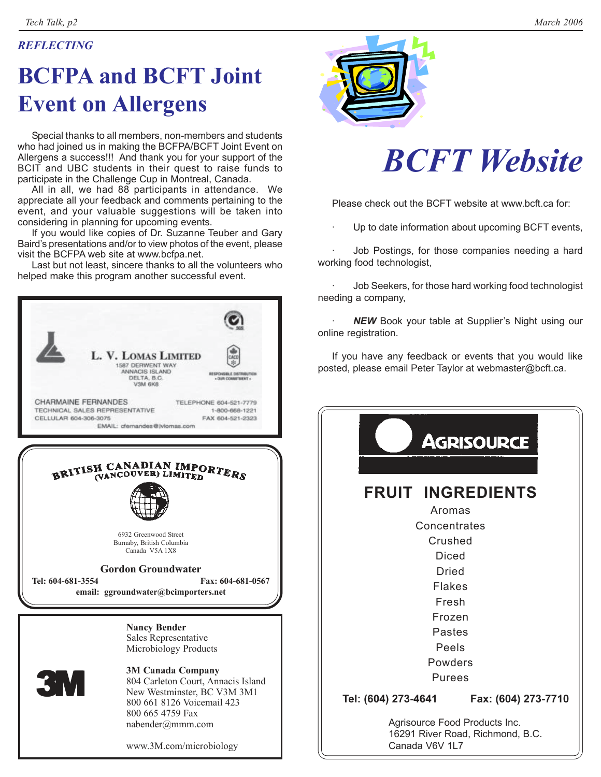## *REFLECTING*

## **BCFPA and BCFT Joint Event on Allergens**

Special thanks to all members, non-members and students who had joined us in making the BCFPA/BCFT Joint Event on Allergens a success!!! And thank you for your support of the BCIT and UBC students in their quest to raise funds to participate in the Challenge Cup in Montreal, Canada.

All in all, we had 88 participants in attendance. We appreciate all your feedback and comments pertaining to the event, and your valuable suggestions will be taken into considering in planning for upcoming events.

If you would like copies of Dr. Suzanne Teuber and Gary Baird's presentations and/or to view photos of the event, please visit the BCFPA web site at www.bcfpa.net.

Last but not least, sincere thanks to all the volunteers who helped make this program another successful event.





# *BCFT Website*

Please check out the BCFT website at www.bcft.ca for:

Up to date information about upcoming BCFT events,

Job Postings, for those companies needing a hard working food technologist,

Job Seekers, for those hard working food technologist needing a company,

**NEW** Book your table at Supplier's Night using our online registration.

If you have any feedback or events that you would like posted, please email Peter Taylor at webmaster@bcft.ca.

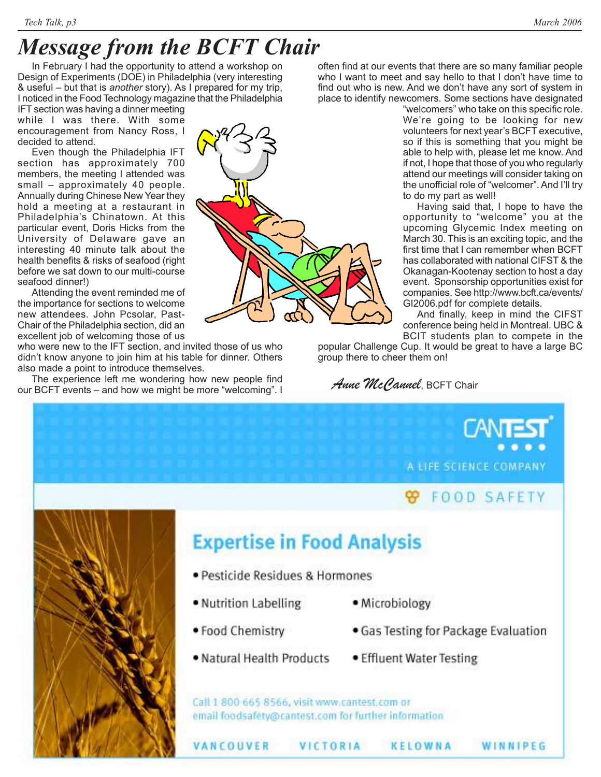## *Message from the BCFT Chair*

In February I had the opportunity to attend a workshop on Design of Experiments (DOE) in Philadelphia (very interesting & useful – but that is *another* story). As I prepared for my trip, I noticed in the Food Technology magazine that the Philadelphia

IFT section was having a dinner meeting while I was there. With some encouragement from Nancy Ross, I decided to attend.

Even though the Philadelphia IFT section has approximately 700 members, the meeting I attended was small – approximately 40 people. Annually during Chinese New Year they hold a meeting at a restaurant in Philadelphia's Chinatown. At this particular event, Doris Hicks from the University of Delaware gave an interesting 40 minute talk about the health benefits & risks of seafood (right before we sat down to our multi-course seafood dinner!)

Attending the event reminded me of the importance for sections to welcome new attendees. John Pcsolar, Past-Chair of the Philadelphia section, did an excellent job of welcoming those of us

who were new to the IFT section, and invited those of us who didn't know anyone to join him at his table for dinner. Others also made a point to introduce themselves.

The experience left me wondering how new people find our BCFT events – and how we might be more "welcoming". I

![](_page_2_Picture_9.jpeg)

often find at our events that there are so many familiar people who I want to meet and say hello to that I don't have time to find out who is new. And we don't have any sort of system in place to identify newcomers. Some sections have designated

"welcomers" who take on this specific role. We're going to be looking for new volunteers for next year's BCFT executive, so if this is something that you might be able to help with, please let me know. And if not, I hope that those of you who regularly attend our meetings will consider taking on the unofficial role of "welcomer". And I'll try to do my part as well!

Having said that, I hope to have the opportunity to "welcome" you at the upcoming Glycemic Index meeting on March 30. This is an exciting topic, and the first time that I can remember when BCFT has collaborated with national CIFST & the Okanagan-Kootenay section to host a day event. Sponsorship opportunities exist for companies. See http://www.bcft.ca/events/ GI2006.pdf for complete details.

And finally, keep in mind the CIFST conference being held in Montreal. UBC & BCIT students plan to compete in the

popular Challenge Cup. It would be great to have a large BC group there to cheer them on!

*Anne McCannel*, BCFT Chair

A LIFE SCIENCE COMPANY

## **FOOD SAFETY**

WINNIPEG

![](_page_2_Picture_18.jpeg)

## **Expertise in Food Analysis**

- · Pesticide Residues & Hormones
- Nutrition Labelling
- · Microbiology
- Food Chemistry

VANCOUVER

- . Natural Health Products
- Effluent Water Testing

KELOWNA

• Gas Testing for Package Evaluation

Call 1 800 665 8566, visit www.cantest.com or email foodsafety@cantest.com for further information

VICTORIA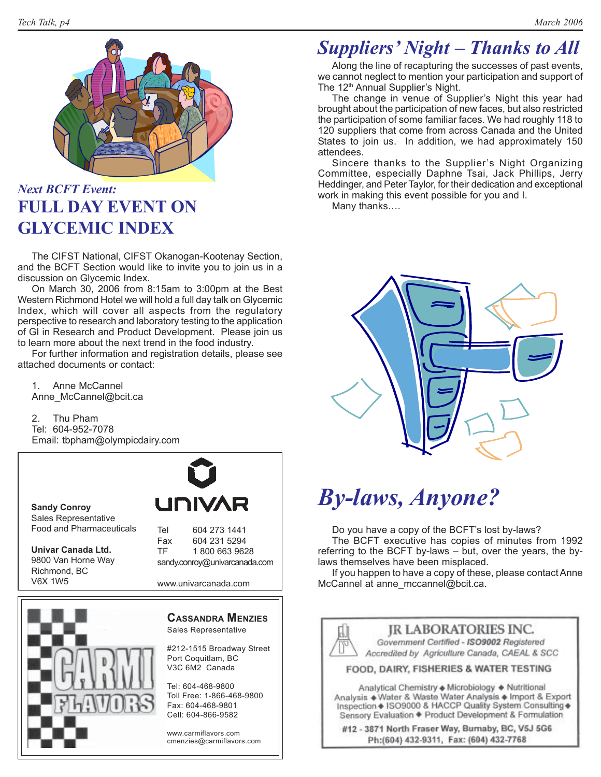![](_page_3_Picture_2.jpeg)

## *Next BCFT Event:* **FULL DAY EVENT ON GLYCEMIC INDEX**

The CIFST National, CIFST Okanogan-Kootenay Section, and the BCFT Section would like to invite you to join us in a discussion on Glycemic Index.

On March 30, 2006 from 8:15am to 3:00pm at the Best Western Richmond Hotel we will hold a full day talk on Glycemic Index, which will cover all aspects from the regulatory perspective to research and laboratory testing to the application of GI in Research and Product Development. Please join us to learn more about the next trend in the food industry.

For further information and registration details, please see attached documents or contact:

1. Anne McCannel Anne\_McCannel@bcit.ca

2. Thu Pham Tel: 604-952-7078 Email: tbpham@olympicdairy.com

**Sandy Conroy** Sales Representative Food and Pharmaceuticals

**Univar Canada Ltd.** 9800 Van Horne Way Richmond, BC V6X 1W5

![](_page_3_Picture_11.jpeg)

Tel 604 273 1441 Fax 604 231 5294 TF 1 800 663 9628 sandy.conroy@univarcanada.com

www.univarcanada.com

![](_page_3_Picture_14.jpeg)

### **CASSANDRA MENZIES** Sales Representative

#212-1515 Broadway Street Port Coquitlam, BC V3C 6M2 Canada

Tel: 604-468-9800 Toll Free: 1-866-468-9800 Fax: 604-468-9801 Cell: 604-866-9582

www.carmiflavors.com cmenzies@carmiflavors.com

## *Suppliers' Night – Thanks to All*

Along the line of recapturing the successes of past events, we cannot neglect to mention your participation and support of The 12<sup>th</sup> Annual Supplier's Night.

The change in venue of Supplier's Night this year had brought about the participation of new faces, but also restricted the participation of some familiar faces. We had roughly 118 to 120 suppliers that come from across Canada and the United States to join us. In addition, we had approximately 150 attendees.

Sincere thanks to the Supplier's Night Organizing Committee, especially Daphne Tsai, Jack Phillips, Jerry Heddinger, and Peter Taylor, for their dedication and exceptional work in making this event possible for you and I.

Many thanks….

![](_page_3_Picture_24.jpeg)

## *By-laws, Anyone?*

Do you have a copy of the BCFT's lost by-laws?

The BCFT executive has copies of minutes from 1992 referring to the BCFT by-laws – but, over the years, the bylaws themselves have been misplaced.

If you happen to have a copy of these, please contact Anne McCannel at anne\_mccannel@bcit.ca.

![](_page_3_Picture_29.jpeg)

**JR LABORATORIES INC.** Government Certified - ISO9002 Registered

Accredited by Agriculture Canada, CAEAL & SCC

FOOD, DAIRY, FISHERIES & WATER TESTING

Analytical Chemistry + Microbiology + Nutritional Analysis + Water & Waste Water Analysis + Import & Export Inspection + ISO9000 & HACCP Quality System Consulting + Sensory Evaluation + Product Development & Formulation

#12 - 3871 North Fraser Way, Burnaby, BC, V5J 5G6 Ph:(604) 432-9311, Fax: (604) 432-7768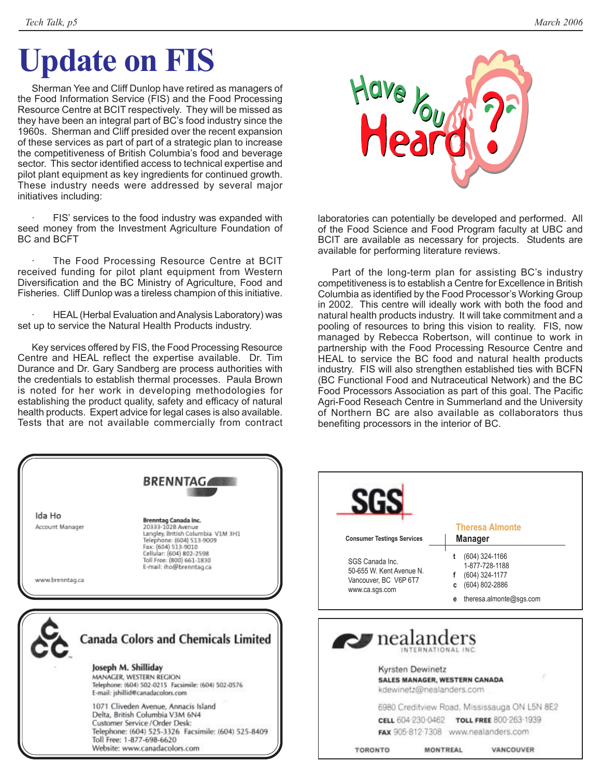# **Update on FIS**

Sherman Yee and Cliff Dunlop have retired as managers of the Food Information Service (FIS) and the Food Processing Resource Centre at BCIT respectively. They will be missed as they have been an integral part of BC's food industry since the 1960s. Sherman and Cliff presided over the recent expansion of these services as part of part of a strategic plan to increase the competitiveness of British Columbia's food and beverage sector. This sector identified access to technical expertise and pilot plant equipment as key ingredients for continued growth. These industry needs were addressed by several major initiatives including:

FIS' services to the food industry was expanded with seed money from the Investment Agriculture Foundation of BC and BCFT

The Food Processing Resource Centre at BCIT received funding for pilot plant equipment from Western Diversification and the BC Ministry of Agriculture, Food and Fisheries. Cliff Dunlop was a tireless champion of this initiative.

HEAL (Herbal Evaluation and Analysis Laboratory) was set up to service the Natural Health Products industry.

Key services offered by FIS, the Food Processing Resource Centre and HEAL reflect the expertise available. Dr. Tim Durance and Dr. Gary Sandberg are process authorities with the credentials to establish thermal processes. Paula Brown is noted for her work in developing methodologies for establishing the product quality, safety and efficacy of natural health products. Expert advice for legal cases is also available. Tests that are not available commercially from contract

![](_page_4_Picture_8.jpeg)

laboratories can potentially be developed and performed. All of the Food Science and Food Program faculty at UBC and BCIT are available as necessary for projects. Students are available for performing literature reviews.

Part of the long-term plan for assisting BC's industry competitiveness is to establish a Centre for Excellence in British Columbia as identified by the Food Processor's Working Group in 2002. This centre will ideally work with both the food and natural health products industry. It will take commitment and a pooling of resources to bring this vision to reality. FIS, now managed by Rebecca Robertson, will continue to work in partnership with the Food Processing Resource Centre and HEAL to service the BC food and natural health products industry. FIS will also strengthen established ties with BCFN (BC Functional Food and Nutraceutical Network) and the BC Food Processors Association as part of this goal. The Pacific Agri-Food Reseach Centre in Summerland and the University of Northern BC are also available as collaborators thus benefiting processors in the interior of BC.

![](_page_4_Picture_11.jpeg)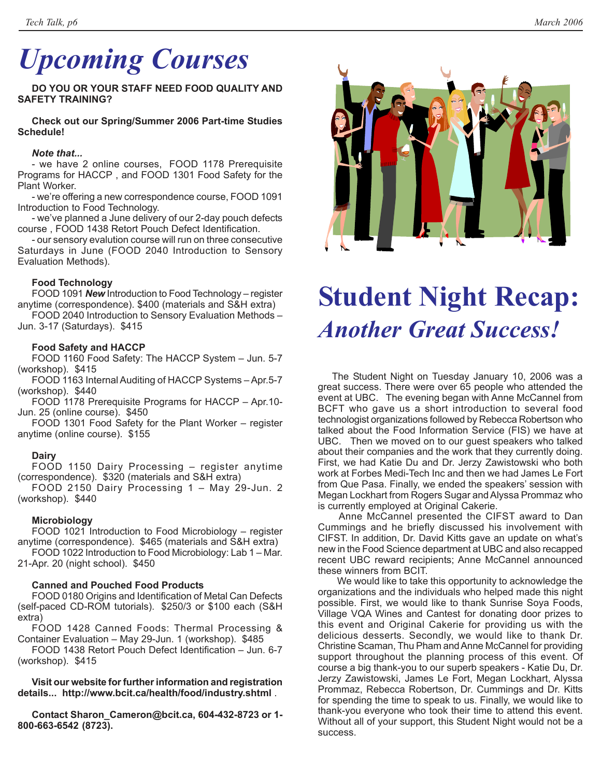# *Upcoming Courses*

**DO YOU OR YOUR STAFF NEED FOOD QUALITY AND SAFETY TRAINING?**

**Check out our Spring/Summer 2006 Part-time Studies Schedule!**

## *Note that...*

- we have 2 online courses, FOOD 1178 Prerequisite Programs for HACCP , and FOOD 1301 Food Safety for the Plant Worker.

- we're offering a new correspondence course, FOOD 1091 Introduction to Food Technology.

- we've planned a June delivery of our 2-day pouch defects course , FOOD 1438 Retort Pouch Defect Identification.

- our sensory evalution course will run on three consecutive Saturdays in June (FOOD 2040 Introduction to Sensory Evaluation Methods).

## **Food Technology**

FOOD 1091 *New* Introduction to Food Technology – register anytime (correspondence). \$400 (materials and S&H extra)

FOOD 2040 Introduction to Sensory Evaluation Methods – Jun. 3-17 (Saturdays). \$415

## **Food Safety and HACCP**

FOOD 1160 Food Safety: The HACCP System – Jun. 5-7 (workshop). \$415

FOOD 1163 Internal Auditing of HACCP Systems – Apr.5-7 (workshop). \$440

FOOD 1178 Prerequisite Programs for HACCP – Apr.10- Jun. 25 (online course). \$450

FOOD 1301 Food Safety for the Plant Worker – register anytime (online course). \$155

### **Dairy**

FOOD 1150 Dairy Processing – register anytime (correspondence). \$320 (materials and S&H extra)

FOOD 2150 Dairy Processing 1 – May 29-Jun. 2 (workshop). \$440

## **Microbiology**

FOOD 1021 Introduction to Food Microbiology – register anytime (correspondence). \$465 (materials and S&H extra)

FOOD 1022 Introduction to Food Microbiology: Lab 1 – Mar. 21-Apr. 20 (night school). \$450

## **Canned and Pouched Food Products**

FOOD 0180 Origins and Identification of Metal Can Defects (self-paced CD-ROM tutorials). \$250/3 or \$100 each (S&H extra)

FOOD 1428 Canned Foods: Thermal Processing & Container Evaluation – May 29-Jun. 1 (workshop). \$485

FOOD 1438 Retort Pouch Defect Identification – Jun. 6-7 (workshop). \$415

**Visit our website for further information and registration details... http://www.bcit.ca/health/food/industry.shtml** .

**Contact Sharon\_Cameron@bcit.ca, 604-432-8723 or 1- 800-663-6542 (8723).**

![](_page_5_Picture_30.jpeg)

## **Student Night Recap:** *Another Great Success!*

The Student Night on Tuesday January 10, 2006 was a great success. There were over 65 people who attended the event at UBC. The evening began with Anne McCannel from BCFT who gave us a short introduction to several food technologist organizations followed by Rebecca Robertson who talked about the Food Information Service (FIS) we have at UBC. Then we moved on to our guest speakers who talked about their companies and the work that they currently doing. First, we had Katie Du and Dr. Jerzy Zawistowski who both work at Forbes Medi-Tech Inc and then we had James Le Fort from Que Pasa. Finally, we ended the speakers' session with Megan Lockhart from Rogers Sugar and Alyssa Prommaz who is currently employed at Original Cakerie.

 Anne McCannel presented the CIFST award to Dan Cummings and he briefly discussed his involvement with CIFST. In addition, Dr. David Kitts gave an update on what's new in the Food Science department at UBC and also recapped recent UBC reward recipients; Anne McCannel announced these winners from BCIT.

 We would like to take this opportunity to acknowledge the organizations and the individuals who helped made this night possible. First, we would like to thank Sunrise Soya Foods, Village VQA Wines and Cantest for donating door prizes to this event and Original Cakerie for providing us with the delicious desserts. Secondly, we would like to thank Dr. Christine Scaman, Thu Pham and Anne McCannel for providing support throughout the planning process of this event. Of course a big thank-you to our superb speakers - Katie Du, Dr. Jerzy Zawistowski, James Le Fort, Megan Lockhart, Alyssa Prommaz, Rebecca Robertson, Dr. Cummings and Dr. Kitts for spending the time to speak to us. Finally, we would like to thank-you everyone who took their time to attend this event. Without all of your support, this Student Night would not be a success.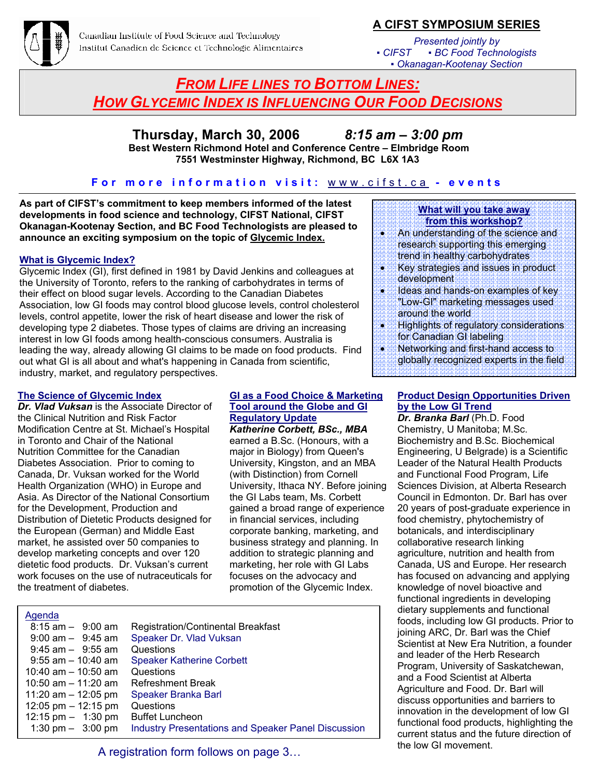![](_page_6_Picture_0.jpeg)

## **A CIFST SYMPOSIUM SERIES**

*Presented jointly by ▪ CIFST ▪ BC Food Technologists ▪ Okanagan-Kootenay Section*

## *FROM LIFE LINES TO BOTTOM LINES: HOW GLYCEMIC INDEX IS INFLUENCING OUR FOOD DECISIONS*

## **Thursday, March 30, 2006** *8:15 am – 3:00 pm*

 **Best Western Richmond Hotel and Conference Centre – Elmbridge Room 7551 Westminster Highway, Richmond, BC L6X 1A3** 

## **For more information visit:** www.cifst.ca **- events**

**As part of CIFST's commitment to keep members informed of the latest developments in food science and technology, CIFST National, CIFST Okanagan-Kootenay Section, and BC Food Technologists are pleased to announce an exciting symposium on the topic of Glycemic Index.**

#### **What is Glycemic Index?**

Glycemic Index (GI), first defined in 1981 by David Jenkins and colleagues at the University of Toronto, refers to the ranking of carbohydrates in terms of their effect on blood sugar levels. According to the Canadian Diabetes Association, low GI foods may control blood glucose levels, control cholesterol levels, control appetite, lower the risk of heart disease and lower the risk of developing type 2 diabetes. Those types of claims are driving an increasing interest in low GI foods among health-conscious consumers. Australia is leading the way, already allowing GI claims to be made on food products. Find out what GI is all about and what's happening in Canada from scientific, industry, market, and regulatory perspectives.

#### **The Science of Glycemic Index**

*Dr. Vlad Vuksan* is the Associate Director of the Clinical Nutrition and Risk Factor Modification Centre at St. Michael's Hospital in Toronto and Chair of the National Nutrition Committee for the Canadian Diabetes Association. Prior to coming to Canada, Dr. Vuksan worked for the World Health Organization (WHO) in Europe and Asia. As Director of the National Consortium for the Development, Production and Distribution of Dietetic Products designed for the European (German) and Middle East market, he assisted over 50 companies to develop marketing concepts and over 120 dietetic food products. Dr. Vuksan's current work focuses on the use of nutraceuticals for the treatment of diabetes.

#### **GI as a Food Choice & Marketing Tool around the Globe and GI Regulatory Update**

*Katherine Corbett, BSc., MBA* earned a B.Sc. (Honours, with a major in Biology) from Queen's University, Kingston, and an MBA (with Distinction) from Cornell University, Ithaca NY. Before joining the GI Labs team, Ms. Corbett gained a broad range of experience in financial services, including corporate banking, marketing, and business strategy and planning. In addition to strategic planning and marketing, her role with GI Labs focuses on the advocacy and promotion of the Glycemic Index.

## Agenda

| $8:15$ am $-$ 9:00 am | <b>Registration/Continental Breakfast</b>                  |
|-----------------------|------------------------------------------------------------|
| $9:00$ am $ 9:45$ am  | Speaker Dr. Vlad Vuksan                                    |
| $9:45$ am $-$ 9:55 am | Questions                                                  |
| $9:55$ am $-10:40$ am | <b>Speaker Katherine Corbett</b>                           |
| 10:40 am $-$ 10:50 am | Questions                                                  |
| 10:50 am $-$ 11:20 am | <b>Refreshment Break</b>                                   |
| 11:20 am $-$ 12:05 pm | Speaker Branka Barl                                        |
| 12:05 pm $-$ 12:15 pm | Questions                                                  |
| 12:15 pm $-$ 1:30 pm  | <b>Buffet Luncheon</b>                                     |
| 1:30 pm $-$ 3:00 pm   | <b>Industry Presentations and Speaker Panel Discussion</b> |
|                       |                                                            |

#### **What will you take away from this workshop?**

- An understanding of the science and research supporting this emerging trend in healthy carbohydrates
- Key strategies and issues in product development
- Ideas and hands-on examples of key "Low-GI" marketing messages used around the world
- Highlights of regulatory considerations for Canadian GI labeling
- Networking and first-hand access to
	- globally recognized experts in the field

#### **Product Design Opportunities Driven by the Low GI Trend**

*Dr. Branka Barl* (Ph.D. Food Chemistry, U Manitoba; M.Sc. Biochemistry and B.Sc. Biochemical Engineering, U Belgrade) is a Scientific Leader of the Natural Health Products and Functional Food Program, Life Sciences Division, at Alberta Research Council in Edmonton. Dr. Barl has over 20 years of post-graduate experience in food chemistry, phytochemistry of botanicals, and interdisciplinary collaborative research linking agriculture, nutrition and health from Canada, US and Europe. Her research has focused on advancing and applying knowledge of novel bioactive and functional ingredients in developing dietary supplements and functional foods, including low GI products. Prior to joining ARC, Dr. Barl was the Chief Scientist at New Era Nutrition, a founder and leader of the Herb Research Program, University of Saskatchewan, and a Food Scientist at Alberta Agriculture and Food. Dr. Barl will discuss opportunities and barriers to innovation in the development of low GI functional food products, highlighting the current status and the future direction of

the low GI movement. A registration form follows on page 3…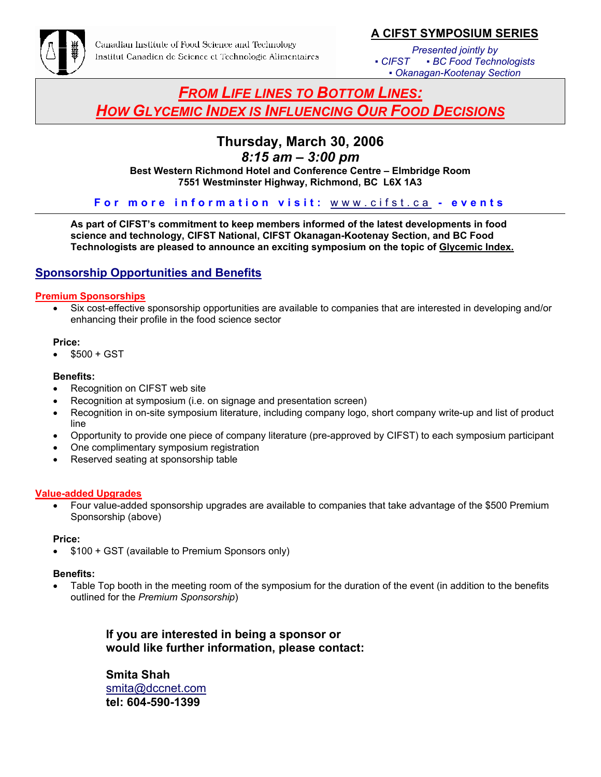![](_page_7_Picture_0.jpeg)

## **A CIFST SYMPOSIUM SERIES**

*Presented jointly by ▪ CIFST ▪ BC Food Technologists ▪ Okanagan-Kootenay Section*

## *FROM LIFE LINES TO BOTTOM LINES: HOW GLYCEMIC INDEX IS INFLUENCING OUR FOOD DECISIONS*

## **Thursday, March 30, 2006**

*8:15 am – 3:00 pm* 

**Best Western Richmond Hotel and Conference Centre – Elmbridge Room 7551 Westminster Highway, Richmond, BC L6X 1A3** 

**For more information visit:** www.cifst.ca **- events** 

**As part of CIFST's commitment to keep members informed of the latest developments in food science and technology, CIFST National, CIFST Okanagan-Kootenay Section, and BC Food Technologists are pleased to announce an exciting symposium on the topic of Glycemic Index.**

## **Sponsorship Opportunities and Benefits**

## **Premium Sponsorships**

• Six cost-effective sponsorship opportunities are available to companies that are interested in developing and/or enhancing their profile in the food science sector

### **Price:**

 $$500 + GST$ 

### **Benefits:**

- Recognition on CIFST web site
- Recognition at symposium (i.e. on signage and presentation screen)
- Recognition in on-site symposium literature, including company logo, short company write-up and list of product line
- Opportunity to provide one piece of company literature (pre-approved by CIFST) to each symposium participant
- One complimentary symposium registration
- Reserved seating at sponsorship table

## **Value-added Upgrades**

• Four value-added sponsorship upgrades are available to companies that take advantage of the \$500 Premium Sponsorship (above)

## **Price:**

• \$100 + GST (available to Premium Sponsors only)

## **Benefits:**

Table Top booth in the meeting room of the symposium for the duration of the event (in addition to the benefits outlined for the *Premium Sponsorship*)

> **If you are interested in being a sponsor or would like further information, please contact:**

**Smita Shah** smita@dccnet.com **tel: 604-590-1399**